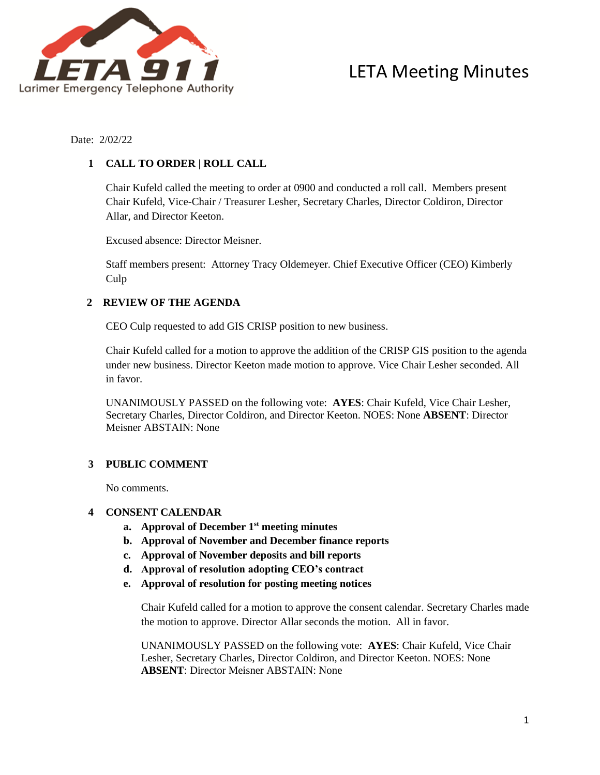

Date: 2/02/22

## **1 CALL TO ORDER | ROLL CALL**

Chair Kufeld called the meeting to order at 0900 and conducted a roll call. Members present Chair Kufeld, Vice-Chair / Treasurer Lesher, Secretary Charles, Director Coldiron, Director Allar, and Director Keeton.

Excused absence: Director Meisner.

Staff members present: Attorney Tracy Oldemeyer. Chief Executive Officer (CEO) Kimberly Culp

## **2 REVIEW OF THE AGENDA**

CEO Culp requested to add GIS CRISP position to new business.

Chair Kufeld called for a motion to approve the addition of the CRISP GIS position to the agenda under new business. Director Keeton made motion to approve. Vice Chair Lesher seconded. All in favor.

UNANIMOUSLY PASSED on the following vote: **AYES**: Chair Kufeld, Vice Chair Lesher, Secretary Charles, Director Coldiron, and Director Keeton. NOES: None **ABSENT**: Director Meisner ABSTAIN: None

## **3 PUBLIC COMMENT**

No comments.

## **4 CONSENT CALENDAR**

- **a. Approval of December 1st meeting minutes**
- **b. Approval of November and December finance reports**
- **c. Approval of November deposits and bill reports**
- **d. Approval of resolution adopting CEO's contract**
- **e. Approval of resolution for posting meeting notices**

Chair Kufeld called for a motion to approve the consent calendar. Secretary Charles made the motion to approve. Director Allar seconds the motion. All in favor.

UNANIMOUSLY PASSED on the following vote: **AYES**: Chair Kufeld, Vice Chair Lesher, Secretary Charles, Director Coldiron, and Director Keeton. NOES: None **ABSENT**: Director Meisner ABSTAIN: None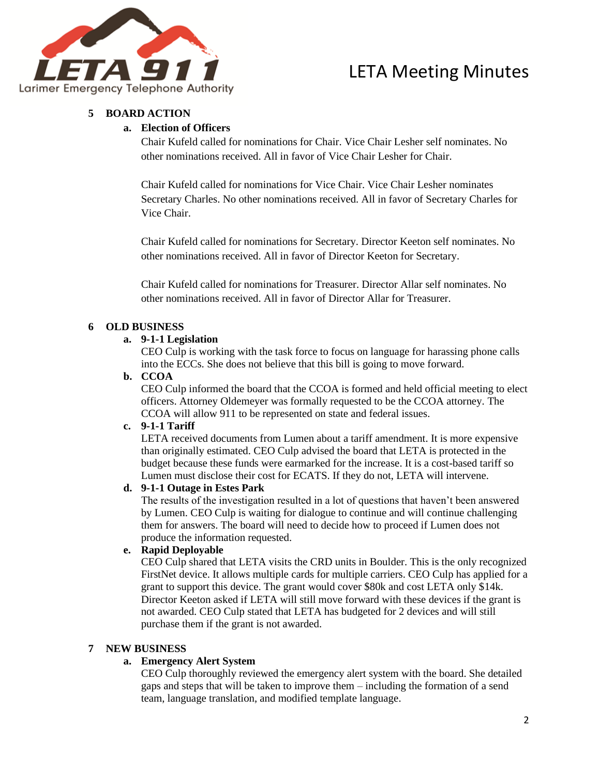

## **5 BOARD ACTION**

## **a. Election of Officers**

Chair Kufeld called for nominations for Chair. Vice Chair Lesher self nominates. No other nominations received. All in favor of Vice Chair Lesher for Chair.

Chair Kufeld called for nominations for Vice Chair. Vice Chair Lesher nominates Secretary Charles. No other nominations received. All in favor of Secretary Charles for Vice Chair.

Chair Kufeld called for nominations for Secretary. Director Keeton self nominates. No other nominations received. All in favor of Director Keeton for Secretary.

Chair Kufeld called for nominations for Treasurer. Director Allar self nominates. No other nominations received. All in favor of Director Allar for Treasurer.

## **6 OLD BUSINESS**

## **a. 9-1-1 Legislation**

CEO Culp is working with the task force to focus on language for harassing phone calls into the ECCs. She does not believe that this bill is going to move forward.

## **b. CCOA**

CEO Culp informed the board that the CCOA is formed and held official meeting to elect officers. Attorney Oldemeyer was formally requested to be the CCOA attorney. The CCOA will allow 911 to be represented on state and federal issues.

## **c. 9-1-1 Tariff**

LETA received documents from Lumen about a tariff amendment. It is more expensive than originally estimated. CEO Culp advised the board that LETA is protected in the budget because these funds were earmarked for the increase. It is a cost-based tariff so Lumen must disclose their cost for ECATS. If they do not, LETA will intervene.

## **d. 9-1-1 Outage in Estes Park**

The results of the investigation resulted in a lot of questions that haven't been answered by Lumen. CEO Culp is waiting for dialogue to continue and will continue challenging them for answers. The board will need to decide how to proceed if Lumen does not produce the information requested.

## **e. Rapid Deployable**

CEO Culp shared that LETA visits the CRD units in Boulder. This is the only recognized FirstNet device. It allows multiple cards for multiple carriers. CEO Culp has applied for a grant to support this device. The grant would cover \$80k and cost LETA only \$14k. Director Keeton asked if LETA will still move forward with these devices if the grant is not awarded. CEO Culp stated that LETA has budgeted for 2 devices and will still purchase them if the grant is not awarded.

## **7 NEW BUSINESS**

## **a. Emergency Alert System**

CEO Culp thoroughly reviewed the emergency alert system with the board. She detailed gaps and steps that will be taken to improve them – including the formation of a send team, language translation, and modified template language.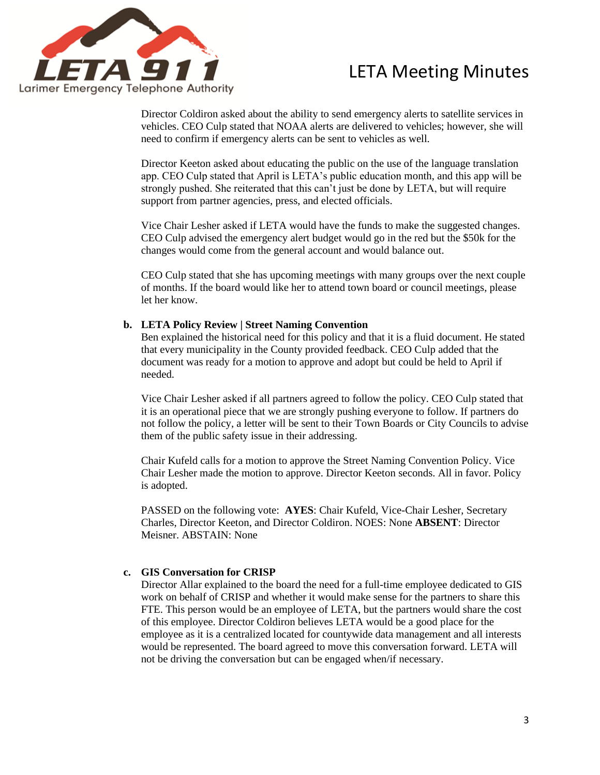

Director Coldiron asked about the ability to send emergency alerts to satellite services in vehicles. CEO Culp stated that NOAA alerts are delivered to vehicles; however, she will need to confirm if emergency alerts can be sent to vehicles as well.

Director Keeton asked about educating the public on the use of the language translation app. CEO Culp stated that April is LETA's public education month, and this app will be strongly pushed. She reiterated that this can't just be done by LETA, but will require support from partner agencies, press, and elected officials.

Vice Chair Lesher asked if LETA would have the funds to make the suggested changes. CEO Culp advised the emergency alert budget would go in the red but the \$50k for the changes would come from the general account and would balance out.

CEO Culp stated that she has upcoming meetings with many groups over the next couple of months. If the board would like her to attend town board or council meetings, please let her know.

#### **b. LETA Policy Review | Street Naming Convention**

Ben explained the historical need for this policy and that it is a fluid document. He stated that every municipality in the County provided feedback. CEO Culp added that the document was ready for a motion to approve and adopt but could be held to April if needed.

Vice Chair Lesher asked if all partners agreed to follow the policy. CEO Culp stated that it is an operational piece that we are strongly pushing everyone to follow. If partners do not follow the policy, a letter will be sent to their Town Boards or City Councils to advise them of the public safety issue in their addressing.

Chair Kufeld calls for a motion to approve the Street Naming Convention Policy. Vice Chair Lesher made the motion to approve. Director Keeton seconds. All in favor. Policy is adopted.

PASSED on the following vote: **AYES**: Chair Kufeld, Vice-Chair Lesher, Secretary Charles, Director Keeton, and Director Coldiron. NOES: None **ABSENT**: Director Meisner. ABSTAIN: None

#### **c. GIS Conversation for CRISP**

Director Allar explained to the board the need for a full-time employee dedicated to GIS work on behalf of CRISP and whether it would make sense for the partners to share this FTE. This person would be an employee of LETA, but the partners would share the cost of this employee. Director Coldiron believes LETA would be a good place for the employee as it is a centralized located for countywide data management and all interests would be represented. The board agreed to move this conversation forward. LETA will not be driving the conversation but can be engaged when/if necessary.